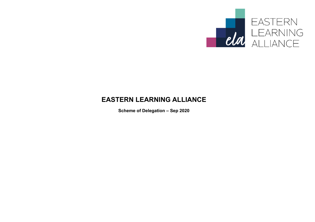

# **EASTERN LEARNING ALLIANCE**

**Scheme of Delegation – Sep 2020**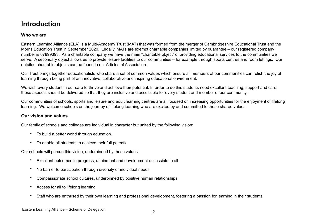# **Introduction**

#### **Who we are**

Eastern Learning Alliance (ELA) is a Multi-Academy Trust (MAT) that was formed from the merger of Cambridgeshire Educational Trust and the Morris Education Trust in September 2020. Legally, MATs are exempt charitable companies limited by guarantee – our registered company number is 07899393. As a charitable company we have the main "charitable object" of providing educational services to the communities we serve. A secondary object allows us to provide leisure facilities to our communities – for example through sports centres and room lettings. Our detailed charitable objects can be found in our Articles of Association.

Our Trust brings together educationalists who share a set of common values which ensure all members of our communities can relish the joy of learning through being part of an innovative, collaborative and inspiring educational environment.

We wish every student in our care to thrive and achieve their potential. In order to do this students need excellent teaching, support and care; these aspects should be delivered so that they are inclusive and accessible for every student and member of our community.

Our communities of schools, sports and leisure and adult learning centres are all focused on increasing opportunities for the enjoyment of lifelong learning. We welcome schools on the journey of lifelong learning who are excited by and committed to these shared values.

#### **Our vision and values**

Our family of schools and colleges are individual in character but united by the following vision:

- To build a better world through education.
- To enable all students to achieve their full potential.

Our schools will pursue this vision, underpinned by these values:

- Excellent outcomes in progress, attainment and development accessible to all
- No barrier to participation through diversity or individual needs
- Compassionate school cultures, underpinned by positive human relationships
- Access for all to lifelong learning
- Staff who are enthused by their own learning and professional development, fostering a passion for learning in their students

#### Eastern Learning Alliance – Scheme of Delegation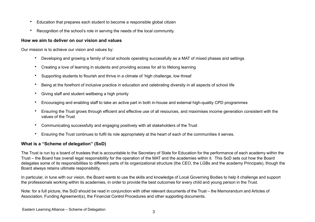- Education that prepares each student to become a responsible global citizen
- Recognition of the school's role in serving the needs of the local community.

#### **How we aim to deliver on our vision and values**

Our mission is to achieve our vision and values by:

- Developing and growing a family of local schools operating successfully as a MAT of mixed phases and settings
- Creating a love of learning in students and providing access for all to lifelong learning
- Supporting students to flourish and thrive in a climate of 'high challenge, low threat'
- Being at the forefront of inclusive practice in education and celebrating diversity in all aspects of school life
- Giving staff and student wellbeing a high priority
- Encouraging and enabling staff to take an active part in both in-house and external high-quality CPD programmes
- Ensuring the Trust grows through efficient and effective use of all resources, and maximises income generation consistent with the values of the Trust
- Communicating successfully and engaging positively with all stakeholders of the Trust
- Ensuring the Trust continues to fulfil its role appropriately at the heart of each of the communities it serves.

# **What is a "Scheme of delegation" (SoD)**

The Trust is run by a board of trustees that is accountable to the Secretary of State for Education for the performance of each academy within the Trust – the Board has overall legal responsibility for the operation of the MAT and the academies within it. This SoD sets out how the Board delegates some of its responsibilities to different parts of its organizational structure (the CEO, the LGBs and the academy Principals), though the Board always retains ultimate responsibility.

In particular, in tune with our vision, the Board wants to use the skills and knowledge of Local Governing Bodies to help it challenge and support the professionals working within its academies, in order to provide the best outcomes for every child and young person in the Trust.

Note: for a full picture, the SoD should be read in conjunction with other relevant documents of the Trust – the Memorandum and Articles of Association, Funding Agreement(s), the Financial Control Procedures and other supporting documents.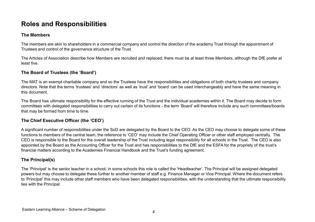# **Roles and Responsibilities**

#### **The Members**

The members are akin to shareholders in a commercial company and control the direction of the academy Trust through the appointment of Trustees and control of the governance structure of the Trust.

The Articles of Association describe how Members are recruited and replaced; there must be at least three Members, although the DfE prefer at least five.

# **The Board of Trustees (the 'Board')**

The MAT is an exempt charitable company and so the Trustees have the responsibilities and obligations of both charity trustees and company directors. Note that the terms 'trustees' and 'directors' as well as 'trust' and 'board' can be used interchangeably and have the same meaning in this document.

The Board has ultimate responsibility for the effective running of the Trust and the individual academies within it. The Board may decide to form committees with delegated responsibilities to carry out certain of its functions - the term 'Board' will therefore include any such committees/boards that may be formed from time to time.

# **The Chief Executive Officer (the 'CEO')**

A significant number of responsibilities under the SoD are delegated by the Board to the CEO. As the CEO may choose to delegate some of these functions to members of the central team, the reference to 'CEO' may include the Chief Operating Officer or other staff employed centrally. The CEO is responsible to the Board for the overall leadership of the Trust including legal responsibility for all schools in the Trust. The CEO is also appointed by the Board as the Accounting Officer for the Trust and has responsibilities to the DfE and the ESFA for the propriety of the trust's financial matters according to the Academies Financial Handbook and the Trust's funding agreement.

# **The Principal(s)**

The 'Principal' is the senior teacher in a school; in some schools this role is called the 'Headteacher'. The Principal will be assigned delegated powers but may choose to delegate these further to another member of staff e.g. Finance Manager or Vice Principal. Where the document refers to 'Principal' this may include other staff members who have been delegated responsibilities, with the understanding that the ultimate responsibility lies with the Principal.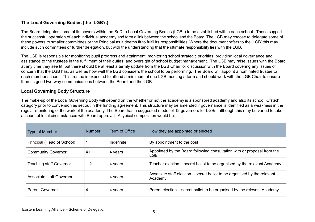### **The Local Governing Bodies (the 'LGB's)**

The Board delegates some of its powers within the SoD to Local Governing Bodies (LGBs) to be established within each school. These support the successful operation of each individual academy and form a link between the school and the Board. The LGB may choose to delegate some of these powers to smaller committees or the Principal as it deems fit to fulfil its responsibilities. Where the document refers to the 'LGB' this may include such committees or further delegation, but with the understanding that the ultimate responsibility lies with the LGB.

The LGB is responsible for monitoring pupil progress and attainment; monitoring school strategic priorities; providing local governance and assistance to the trustees in the fulfillment of their duties; and oversight of school budget management. The LGB may raise issues with the Board at any time they see fit, but there should be at least a termly update from the LGB Chair for discussion with the Board covering any issues of concern that the LGB has, as well as how well the LGB considers the school to be performing. The Board will appoint a nominated trustee to each member school. This trustee is expected to attend a minimum of one LGB meeting a term and should work with the LGB Chair to ensure there is good two-way communications between the Board and the LGB.

### **Local Governing Body Structure**

The make-up of the Local Governing Body will depend on the whether or not the academy is a sponsored academy and also its school 'Ofsted' category prior to conversion as set out in the funding agreement. This structure may be amended if governance is identified as a weakness in the regular monitoring of the work of the academy. The Board has a suggested model of 12 governors for LGBs, although this may be varied to take account of local circumstances with Board approval. A typical composition would be:

| <b>Type of Member</b>          | <b>Number</b> | Term of Office | How they are appointed or elected                                                     |
|--------------------------------|---------------|----------------|---------------------------------------------------------------------------------------|
| Principal (Head of School)     |               | Indefinite     | By appointment to the post                                                            |
| <b>Community Governor</b>      | 4+            | 4 years        | Appointed by the Board following consultation with or proposal from the<br><b>LGB</b> |
| <b>Teaching staff Governor</b> | $1 - 2$       | 4 years        | Teacher election – secret ballot to be organised by the relevant Academy              |
| Associate staff Governor       |               | 4 years        | Associate staff election – secret ballot to be organised by the relevant<br>Academy   |
| <b>Parent Governor</b>         | 4             | 4 years        | Parent election – secret ballot to be organised by the relevant Academy               |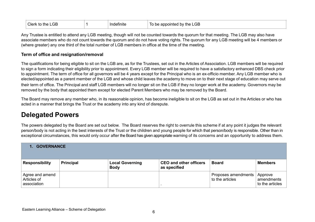| <b>Clerk</b><br><b>to the LGB</b> | Indefinite | appointed by the LGB<br>To be |
|-----------------------------------|------------|-------------------------------|
|-----------------------------------|------------|-------------------------------|

Any Trustee is entitled to attend any LGB meeting, though will not be counted towards the quorum for that meeting. The LGB may also have associate members who do not count towards the quorum and do not have voting rights. The quorum for any LGB meeting will be 4 members or (where greater) any one third of the total number of LGB members in office at the time of the meeting.

#### **Term of office and resignation/removal**

The qualifications for being eligible to sit on the LGB are, as for the Trustees, set out in the Articles of Association. LGB members will be required to sign a form indicating their eligibility prior to appointment. Every LGB member will be required to have a satisfactory enhanced DBS check prior to appointment. The term of office for all governors will be 4 years except for the Principal who is an ex-officio member. Any LGB member who is elected/appointed as a parent member of the LGB and whose child leaves the academy to move on to their next stage of education may serve out their term of office. The Principal and staff LGB members will no longer sit on the LGB if they no longer work at the academy. Governors may be removed by the body that appointed them except for elected Parent Members who may be removed by the Board.

The Board may remove any member who, in its reasonable opinion, has become ineligible to sit on the LGB as set out in the Articles or who has acted in a manner that brings the Trust or the academy into any kind of disrepute.

# **Delegated Powers**

The powers delegated by the Board are set out below. The Board reserves the right to overrule this scheme if at any point it judges the relevant person/body is not acting in the best interests of the Trust or the children and young people for which that person/body is responsible. Other than in exceptional circumstances, this would only occur after the Board has given appropriate warning of its concerns and an opportunity to address them.

| <b>1. GOVERNANCE</b>                          |                  |                                       |                                               |                                        |                                          |  |
|-----------------------------------------------|------------------|---------------------------------------|-----------------------------------------------|----------------------------------------|------------------------------------------|--|
| <b>Responsibility</b>                         | <b>Principal</b> | <b>Local Governing</b><br><b>Body</b> | <b>CEO and other officers</b><br>as specified | <b>Board</b>                           | <b>Members</b>                           |  |
| Agree and amend<br>Articles of<br>association |                  |                                       |                                               | Proposes amendments<br>to the articles | Approve<br>amendments<br>to the articles |  |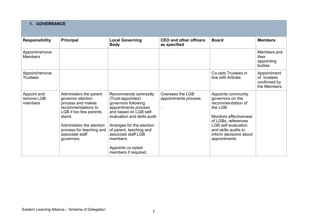| <b>GOVERNANCE</b><br>$1_{-}$         |                                                                                                                                                                                                                     |                                                                                                                                                                                                                                                                                            |                                               |                                                                                                                                                                                                                                |                                                            |  |
|--------------------------------------|---------------------------------------------------------------------------------------------------------------------------------------------------------------------------------------------------------------------|--------------------------------------------------------------------------------------------------------------------------------------------------------------------------------------------------------------------------------------------------------------------------------------------|-----------------------------------------------|--------------------------------------------------------------------------------------------------------------------------------------------------------------------------------------------------------------------------------|------------------------------------------------------------|--|
| <b>Responsibility</b>                | <b>Principal</b>                                                                                                                                                                                                    | <b>Local Governing</b><br><b>Body</b>                                                                                                                                                                                                                                                      | <b>CEO and other officers</b><br>as specified | <b>Board</b>                                                                                                                                                                                                                   | <b>Members</b>                                             |  |
| Appoint/remove<br><b>Members</b>     |                                                                                                                                                                                                                     |                                                                                                                                                                                                                                                                                            |                                               |                                                                                                                                                                                                                                | Members and<br>their<br>appointing<br>bodies               |  |
| Appoint/remove<br><b>Trustees</b>    |                                                                                                                                                                                                                     |                                                                                                                                                                                                                                                                                            |                                               | Co-opts Trustees in<br>line with Articles                                                                                                                                                                                      | Appointment<br>of trustees<br>confirmed by<br>the Members. |  |
| Appoint and<br>remove LGB<br>members | Administers the parent<br>governor election<br>process and makes<br>recommendations to<br>LGB if too few parents<br>stand.<br>Administers the election<br>process for teaching and<br>associate staff<br>governors. | Recommends community<br>(Trust-appointed)<br>governors following<br>appointments process<br>and based on LGB self-<br>evaluation and skills audit.<br>Arranges for the election<br>of parent, teaching and<br>associate staff LGB<br>members.<br>Appoints co-opted<br>members if required. | Oversees the LGB<br>appointments process.     | Appoints community<br>governors on the<br>recommendation of<br>the LGB<br><b>Monitors effectiveness</b><br>of LGBs, references<br><b>LGB</b> self-evaluation<br>and skills audits to<br>inform decisions about<br>appointments |                                                            |  |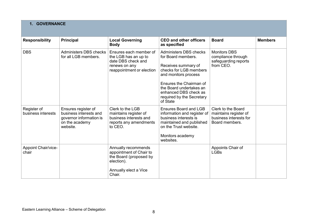| <b>GOVERNANCE</b><br>1.             |                                                                                                        |                                                                                                                           |                                                                                                                                                                                                                                               |                                                                                         |                |  |  |
|-------------------------------------|--------------------------------------------------------------------------------------------------------|---------------------------------------------------------------------------------------------------------------------------|-----------------------------------------------------------------------------------------------------------------------------------------------------------------------------------------------------------------------------------------------|-----------------------------------------------------------------------------------------|----------------|--|--|
| <b>Responsibility</b>               | <b>Principal</b>                                                                                       | <b>Local Governing</b><br><b>Body</b>                                                                                     | <b>CEO and other officers</b><br>as specified                                                                                                                                                                                                 | <b>Board</b>                                                                            | <b>Members</b> |  |  |
| <b>DBS</b>                          | Administers DBS checks<br>for all LGB members.                                                         | Ensures each member of<br>the LGB has an up to<br>date DBS check and<br>renews on any<br>reappointment or election        | Administers DBS checks<br>for Board members.<br>Receives summary of<br>checks for LGB members<br>and monitors process<br>Ensures the Chairman of<br>the Board undertakes an<br>enhanced DBS check as<br>required by the Secretary<br>of State | <b>Monitors DBS</b><br>compliance through<br>safeguarding reports<br>from CEO.          |                |  |  |
| Register of<br>business interests   | Ensures register of<br>business interests and<br>governor information is<br>on the academy<br>website. | Clerk to the LGB<br>maintains register of<br>business interests and<br>reports any amendments<br>to CEO.                  | Ensures Board and LGB<br>information and register of<br>business interests is<br>maintained and published<br>on the Trust website.<br>Monitors academy<br>websites.                                                                           | Clerk to the Board<br>maintains register of<br>business interests for<br>Board members. |                |  |  |
| <b>Appoint Chair/vice-</b><br>chair |                                                                                                        | Annually recommends<br>appointment of Chair to<br>the Board (proposed by<br>election).<br>Annually elect a Vice<br>Chair. |                                                                                                                                                                                                                                               | Appoints Chair of<br><b>LGBs</b>                                                        |                |  |  |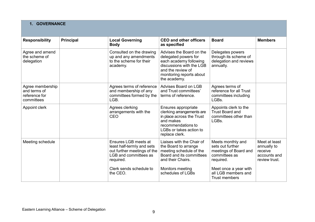| <b>GOVERNANCE</b>                                               |                  |                                                                                          |                                                                                                                                                                         |                                                                                  |                |  |
|-----------------------------------------------------------------|------------------|------------------------------------------------------------------------------------------|-------------------------------------------------------------------------------------------------------------------------------------------------------------------------|----------------------------------------------------------------------------------|----------------|--|
| <b>Responsibility</b>                                           | <b>Principal</b> | <b>Local Governing</b><br><b>Body</b>                                                    | <b>CEO and other officers</b><br>as specified                                                                                                                           | <b>Board</b>                                                                     | <b>Members</b> |  |
| Agree and amend<br>the scheme of<br>delegation                  |                  | Consulted on the drawing<br>up and any amendments<br>to the scheme for their<br>academy. | Advises the Board on the<br>delegated powers for<br>each academy following<br>discussions with the LGB<br>and the review of<br>monitoring reports about<br>the academy. | Delegates powers<br>through its scheme of<br>delegation and reviews<br>annually. |                |  |
| Agree membership<br>and terms of<br>reference for<br>committees |                  | Agrees terms of reference<br>and membership of any<br>committees formed by the<br>LGB.   | Advises Board on LGB<br>and Trust committees'<br>terms of reference.                                                                                                    | Agrees terms of<br>reference for all Trust<br>committees including<br>LGBs.      |                |  |
| Appoint clerk                                                   |                  | Agrees clerking<br>arrangements with the                                                 | Ensures appropriate<br>clerking arrangements are                                                                                                                        | Appoints clerk to the<br><b>Trust Board and</b>                                  |                |  |

|                                                                 |                                                                                                                                                                | monitoring reports about<br>the academy.                                                                                                                               |                                                                                                                                                               |                                                                          |
|-----------------------------------------------------------------|----------------------------------------------------------------------------------------------------------------------------------------------------------------|------------------------------------------------------------------------------------------------------------------------------------------------------------------------|---------------------------------------------------------------------------------------------------------------------------------------------------------------|--------------------------------------------------------------------------|
| Agree membership<br>and terms of<br>reference for<br>committees | Agrees terms of reference<br>and membership of any<br>committees formed by the<br>LGB.                                                                         | Advises Board on LGB<br>and Trust committees'<br>terms of reference.                                                                                                   | Agrees terms of<br>reference for all Trust<br>committees including<br>LGBs.                                                                                   |                                                                          |
| Appoint clerk                                                   | Agrees clerking<br>arrangements with the<br>CEO                                                                                                                | Ensures appropriate<br>clerking arrangements are<br>in place across the Trust<br>and makes<br>recommendations to<br>LGBs or takes action to<br>replace clerk.          | Appoints clerk to the<br><b>Trust Board and</b><br>committees other than<br>LGBs.                                                                             |                                                                          |
| Meeting schedule                                                | Ensures LGB meets at<br>least half-termly and sets<br>out further meetings of the<br>LGB and committees as<br>required.<br>Clerk sends schedule to<br>the CEO. | Liaises with the Chair of<br>the Board to arrange<br>meeting schedule of the<br>Board and its committees<br>and their Chairs.<br>Monitors meeting<br>schedules of LGBs | Meets monthly and<br>sets out further<br>meetings of Board and<br>committees as<br>required.<br>Meet once a year with<br>all LGB members and<br>Trust members | Meet at least<br>annually to<br>receive<br>accounts and<br>review trust. |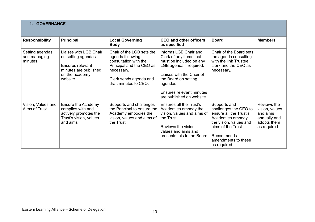|  | <b>1. GOVERNANCE</b> |
|--|----------------------|
|--|----------------------|

| <b>Responsibility</b>                       | <b>Principal</b>                                                                                                         | <b>Local Governing</b><br><b>Body</b>                                                                                                                               | <b>CEO and other officers</b><br>as specified                                                                                                                                                                                   | <b>Board</b>                                                                                                                                                                            | <b>Members</b>                                                                          |
|---------------------------------------------|--------------------------------------------------------------------------------------------------------------------------|---------------------------------------------------------------------------------------------------------------------------------------------------------------------|---------------------------------------------------------------------------------------------------------------------------------------------------------------------------------------------------------------------------------|-----------------------------------------------------------------------------------------------------------------------------------------------------------------------------------------|-----------------------------------------------------------------------------------------|
| Setting agendas<br>and managing<br>minutes. | Liaises with LGB Chair<br>on setting agendas.<br>Ensures relevant<br>minutes are published<br>on the academy<br>website. | Chair of the LGB sets the<br>agenda following<br>consultation with the<br>Principal and the CEO as<br>necessary.<br>Clerk sends agenda and<br>draft minutes to CEO. | Informs LGB Chair and<br>Clerk of any items that<br>must be included on any<br>LGB agenda if required.<br>Liaises with the Chair of<br>the Board on setting<br>agendas.<br>Ensures relevant minutes<br>are published on website | Chair of the Board sets<br>the agenda consulting<br>with the link Trustee,<br>clerk and the CEO as<br>necessary.                                                                        |                                                                                         |
| Vision, Values and<br>Aims of Trust         | Ensure the Academy<br>complies with and<br>actively promotes the<br>Trust's vision, values<br>and aims                   | Supports and challenges<br>the Principal to ensure the<br>Academy embodies the<br>vision, values and aims of<br>the Trust                                           | Ensures all the Trust's<br>Academies embody the<br>vision, values and aims of<br>the Trust<br>Reviews the vision,<br>values and aims and<br>presents this to the Board                                                          | Supports and<br>challenges the CEO to<br>ensure all the Trust's<br>Academies embody<br>the vision, values and<br>aims of the Trust.<br>Recommends<br>amendments to these<br>as required | Reviews the<br>vision, values<br>and aims<br>annually and<br>adopts them<br>as required |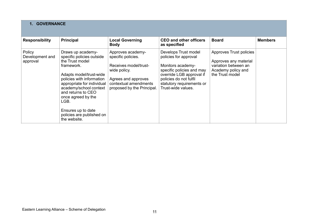| <b>GOVERNANCE</b>                     |                                                                                                                                                                                                                                                                                                                        |                                                                                                                                                                |                                                                                                                                                                                                          |                                                                                                                   |                |  |
|---------------------------------------|------------------------------------------------------------------------------------------------------------------------------------------------------------------------------------------------------------------------------------------------------------------------------------------------------------------------|----------------------------------------------------------------------------------------------------------------------------------------------------------------|----------------------------------------------------------------------------------------------------------------------------------------------------------------------------------------------------------|-------------------------------------------------------------------------------------------------------------------|----------------|--|
| <b>Responsibility</b>                 | <b>Principal</b>                                                                                                                                                                                                                                                                                                       | <b>Local Governing</b><br><b>Body</b>                                                                                                                          | <b>CEO and other officers</b><br>as specified                                                                                                                                                            | <b>Board</b>                                                                                                      | <b>Members</b> |  |
| Policy<br>Development and<br>approval | Draws up academy-<br>specific policies outside<br>the Trust model<br>framework.<br>Adapts model/trust-wide<br>policies with information<br>appropriate for individual<br>academy/school context<br>and returns to CEO<br>once agreed by the<br>LGB.<br>Ensures up to date<br>policies are published on<br>the website. | Approves academy-<br>specific policies.<br>Receives model/trust-<br>wide policy.<br>Agrees and approves<br>contextual amendments<br>proposed by the Principal. | Develops Trust model<br>policies for approval<br>Monitors academy-<br>specific policies and may<br>override LGB approval if<br>policies do not fulfil<br>statutory requirements or<br>Trust-wide values. | Approves Trust policies<br>Approves any material<br>variation between an<br>Academy policy and<br>the Trust model |                |  |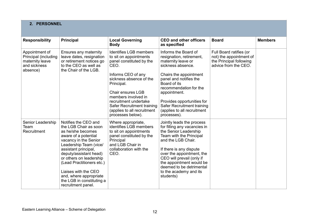# **2. PERSONNEL**

| <b>Responsibility</b>                                                                 | <b>Principal</b>                                                                                                                                                                                                                                                                                                                                             | <b>Local Governing</b><br><b>Body</b>                                                                                                                                                                                                                                                                                    | <b>CEO and other officers</b><br>as specified                                                                                                                                                                                                                                                                           | <b>Board</b>                                                                                          | <b>Members</b> |
|---------------------------------------------------------------------------------------|--------------------------------------------------------------------------------------------------------------------------------------------------------------------------------------------------------------------------------------------------------------------------------------------------------------------------------------------------------------|--------------------------------------------------------------------------------------------------------------------------------------------------------------------------------------------------------------------------------------------------------------------------------------------------------------------------|-------------------------------------------------------------------------------------------------------------------------------------------------------------------------------------------------------------------------------------------------------------------------------------------------------------------------|-------------------------------------------------------------------------------------------------------|----------------|
| Appointment of<br>Principal (including<br>maternity leave<br>and sickness<br>absence) | Ensures any maternity<br>leave dates, resignation<br>or retirement notices go<br>to the CEO as well as<br>the Chair of the LGB.                                                                                                                                                                                                                              | <b>Identifies LGB members</b><br>to sit on appointments<br>panel constituted by the<br>CEO.<br>Informs CEO of any<br>sickness absence of the<br>Principal.<br><b>Chair ensures LGB</b><br>members involved in<br>recruitment undertake<br>Safer Recruitment training<br>(applies to all recruitment<br>processes below). | Informs the Board of<br>resignation, retirement,<br>maternity leave or<br>sickness absence.<br>Chairs the appointment<br>panel and notifies the<br>Board of its<br>recommendation for the<br>appointment.<br>Provides opportunities for<br>Safer Recruitment training<br>(applies to all recruitment<br>processes).     | Full Board ratifies (or<br>not) the appointment of<br>the Principal following<br>advice from the CEO. |                |
| Senior Leadership<br>Team<br>Recruitment                                              | Notifies the CEO and<br>the LGB Chair as soon<br>as he/she becomes<br>aware of a potential<br>vacancy in the Senior<br>Leadership Team (vice/<br>assistant principal,<br>deputy/assistant head)<br>or others on leadership<br>(Lead Practitioners etc.)<br>Liaises with the CEO<br>and, where appropriate<br>the LGB in constituting a<br>recruitment panel. | Where appropriate,<br>identifies LGB members<br>to sit on appointments<br>panel constituted by the<br>Principal<br>and LGB Chair in<br>collaboration with the<br>CEO.                                                                                                                                                    | Jointly leads the process<br>for filling any vacancies in<br>the Senior Leadership<br>Team with the Principal<br>and the LGB Chair.<br>If there is any dispute<br>over the appointment, the<br>CEO will prevail (only if<br>the appointment would be<br>deemed to be detrimental<br>to the academy and its<br>students) |                                                                                                       |                |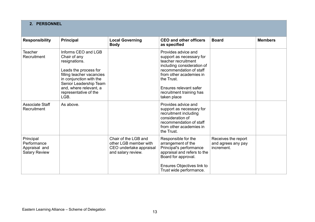| 2. PERSONNEL                                                      |                                                                                                                                                                                                                            |                                                                                                |                                                                                                                                                                                                                                               |                                                         |                |  |
|-------------------------------------------------------------------|----------------------------------------------------------------------------------------------------------------------------------------------------------------------------------------------------------------------------|------------------------------------------------------------------------------------------------|-----------------------------------------------------------------------------------------------------------------------------------------------------------------------------------------------------------------------------------------------|---------------------------------------------------------|----------------|--|
| <b>Responsibility</b>                                             | <b>Principal</b>                                                                                                                                                                                                           | <b>Local Governing</b><br><b>Body</b>                                                          | <b>CEO and other officers</b><br>as specified                                                                                                                                                                                                 | <b>Board</b>                                            | <b>Members</b> |  |
| <b>Teacher</b><br>Recruitment                                     | Informs CEO and LGB<br>Chair of any<br>resignations.<br>Leads the process for<br>filling teacher vacancies<br>in conjunction with the<br>Senior Leadership Team<br>and, where relevant, a<br>representative of the<br>LGB. |                                                                                                | Provides advice and<br>support as necessary for<br>teacher recruitment<br>including consideration of<br>recommendation of staff<br>from other academies in<br>the Trust.<br>Ensures relevant safer<br>recruitment training has<br>taken place |                                                         |                |  |
| <b>Associate Staff</b><br>Recruitment                             | As above.                                                                                                                                                                                                                  |                                                                                                | Provides advice and<br>support as necessary for<br>recruitment including<br>consideration of<br>recommendation of staff<br>from other academies in<br>the Trust.                                                                              |                                                         |                |  |
| Principal<br>Performance<br>Appraisal and<br><b>Salary Review</b> |                                                                                                                                                                                                                            | Chair of the LGB and<br>other LGB member with<br>CEO undertake appraisal<br>and salary review. | Responsible for the<br>arrangement of the<br>Principal's performance<br>appraisal and refers to the<br>Board for approval.<br><b>Ensures Objectives link to</b><br>Trust wide performance.                                                    | Receives the report<br>and agrees any pay<br>increment. |                |  |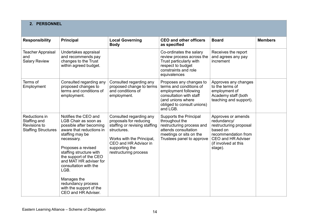| 2. PERSONNEL                                                                |                                                                                                                                                                                                                                                                                                                                                                   |                                                                                                                                                                                                    |                                                                                                                                                                      |                                                                                                                                                                |                |  |  |  |
|-----------------------------------------------------------------------------|-------------------------------------------------------------------------------------------------------------------------------------------------------------------------------------------------------------------------------------------------------------------------------------------------------------------------------------------------------------------|----------------------------------------------------------------------------------------------------------------------------------------------------------------------------------------------------|----------------------------------------------------------------------------------------------------------------------------------------------------------------------|----------------------------------------------------------------------------------------------------------------------------------------------------------------|----------------|--|--|--|
| <b>Responsibility</b>                                                       | <b>Principal</b>                                                                                                                                                                                                                                                                                                                                                  | <b>Local Governing</b><br><b>Body</b>                                                                                                                                                              | <b>CEO and other officers</b><br>as specified                                                                                                                        | <b>Board</b>                                                                                                                                                   | <b>Members</b> |  |  |  |
| <b>Teacher Appraisal</b><br>and<br><b>Salary Review</b>                     | Undertakes appraisal<br>and recommends pay<br>changes to the Trust<br>within agreed budget.                                                                                                                                                                                                                                                                       |                                                                                                                                                                                                    | Co-ordinates the salary<br>review process across the<br>Trust particularly with<br>respect to budget<br>constraints and role<br>equivalences                         | Receives the report<br>and agrees any pay<br>increment                                                                                                         |                |  |  |  |
| Terms of<br>Employment                                                      | Consulted regarding any<br>proposed changes to<br>terms and conditions of<br>employment.                                                                                                                                                                                                                                                                          | Consulted regarding any<br>proposed change to terms<br>and conditions of<br>employment.                                                                                                            | Proposes any changes to<br>terms and conditions of<br>employment following<br>consultation with staff<br>(and unions where<br>obliged to consult unions)<br>and LGB. | Approves any changes<br>to the terms of<br>employment of<br>Academy staff (both<br>teaching and support).                                                      |                |  |  |  |
| Reductions in<br>Staffing and<br>Revisions to<br><b>Staffing Structures</b> | Notifies the CEO and<br>LGB Chair as soon as<br>possible after becoming<br>aware that reductions in<br>staffing may be<br>necessary.<br>Proposes a revised<br>staffing structure with<br>the support of the CEO<br>and MAT HR adviser for<br>consultation with the<br>LGB.<br>Manages the<br>redundancy process<br>with the support of the<br>CEO and HR Adviser. | Consulted regarding any<br>proposals for reducing<br>staffing or revising staffing<br>structures.<br>Works with the Principal,<br>CEO and HR Advisor in<br>supporting the<br>restructuring process | <b>Supports the Principal</b><br>throughout the<br>restructuring process and<br>attends consultation<br>meetings or sits on the<br>Trustees panel to approve         | Approves or amends<br>redundancy/<br>restructuring proposal<br>based on<br>recommendation from<br><b>CEO and HR Adviser</b><br>(if involved at this<br>stage). |                |  |  |  |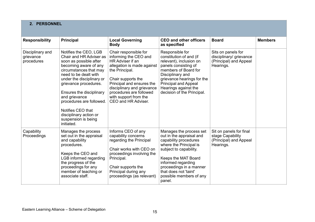# **2. PERSONNEL**

| <b>Responsibility</b>                       | <b>Principal</b>                                                                                                                                                                                                                                                                                                                                                          | <b>Local Governing</b><br><b>Body</b>                                                                                                                                                                                                                                          | <b>CEO and other officers</b><br>as specified                                                                                                                                                                                                                          | <b>Board</b>                                                                         | <b>Members</b> |
|---------------------------------------------|---------------------------------------------------------------------------------------------------------------------------------------------------------------------------------------------------------------------------------------------------------------------------------------------------------------------------------------------------------------------------|--------------------------------------------------------------------------------------------------------------------------------------------------------------------------------------------------------------------------------------------------------------------------------|------------------------------------------------------------------------------------------------------------------------------------------------------------------------------------------------------------------------------------------------------------------------|--------------------------------------------------------------------------------------|----------------|
| Disciplinary and<br>grievance<br>procedures | Notifies the CEO, LGB<br>Chair and HR Adviser as<br>soon as possible after<br>becoming aware of any<br>circumstances that may<br>need to be dealt with<br>under the disciplinary or<br>grievance procedures.<br>Ensures the disciplinary<br>and grievance<br>procedures are followed.<br>Notifies CEO that<br>disciplinary action or<br>suspension is being<br>initiated. | Chair responsible for<br>informing the CEO and<br>HR Adviser if an<br>allegation is made against<br>the Principal.<br>Chair supports the<br>Principal and ensures the<br>disciplinary and grievance<br>procedures are followed<br>with support from the<br>CEO and HR Adviser. | Responsible for<br>constitution of and (if<br>relevant), inclusion on<br>panels consisting of<br>members of Board for<br>Disciplinary and<br>grievance hearings for the<br><b>Principal and Appeal</b><br>Hearings against the<br>decision of the Principal.           | Sits on panels for<br>disciplinary/ grievance<br>(Principal) and Appeal<br>Hearings. |                |
| Capability<br>Proceedings                   | Manages the process<br>set out in the appraisal<br>and capability<br>procedures.<br>Keeps the CEO and<br>LGB informed regarding<br>the progress of the<br>proceedings for any<br>member of teaching or<br>associate staff.                                                                                                                                                | Informs CEO of any<br>capability concerns<br>regarding the Principal<br>Chair works with CEO on<br>proceedings involving the<br>Principal.<br>Chair supports the<br>Principal during any<br>proceedings (as relevant)                                                          | Manages the process set<br>out in the appraisal and<br>capability procedures<br>where the Principal is<br>subject to capability.<br>Keeps the MAT Board<br>informed regarding<br>proceedings in a manner<br>that does not 'taint'<br>possible members of any<br>panel. | Sit on panels for final<br>stage Capability<br>(Principal) and Appeal<br>Hearings.   |                |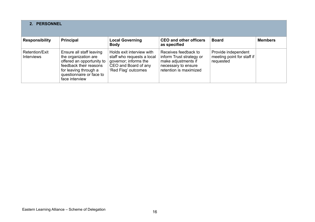| 2. PERSONNEL                        |                                                                                                                                                                                |                                                                                                                                 |                                                                                                                          |                                                                |                |  |  |  |
|-------------------------------------|--------------------------------------------------------------------------------------------------------------------------------------------------------------------------------|---------------------------------------------------------------------------------------------------------------------------------|--------------------------------------------------------------------------------------------------------------------------|----------------------------------------------------------------|----------------|--|--|--|
| <b>Responsibility</b>               | Principal                                                                                                                                                                      | <b>Local Governing</b><br><b>Body</b>                                                                                           | <b>CEO and other officers</b><br>as specified                                                                            | <b>Board</b>                                                   | <b>Members</b> |  |  |  |
| Retention/Exit<br><b>Interviews</b> | Ensure all staff leaving<br>the organization are<br>offered an opportunity to<br>feedback their reasons<br>for leaving through a<br>questionnaire or face to<br>face interview | Holds exit interview with<br>staff who requests a local<br>governor; informs the<br>CEO and Board of any<br>'Red Flag' outcomes | Receives feedback to<br>inform Trust strategy or<br>make adjustments if<br>necessary to ensure<br>retention is maximized | Provide independent<br>meeting point for staff if<br>requested |                |  |  |  |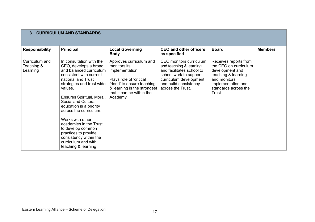# **3. CURRICULUM AND STANDARDS**

| <b>Responsibility</b>                    | <b>Principal</b>                                                                                                                                                                                                                                                                                                                                                                                                                                  | <b>Local Governing</b><br><b>Body</b>                                                                                                                                                     | <b>CEO and other officers</b><br>as specified                                                                                                                                     | <b>Board</b>                                                                                                                                                     | <b>Members</b> |
|------------------------------------------|---------------------------------------------------------------------------------------------------------------------------------------------------------------------------------------------------------------------------------------------------------------------------------------------------------------------------------------------------------------------------------------------------------------------------------------------------|-------------------------------------------------------------------------------------------------------------------------------------------------------------------------------------------|-----------------------------------------------------------------------------------------------------------------------------------------------------------------------------------|------------------------------------------------------------------------------------------------------------------------------------------------------------------|----------------|
| Curriculum and<br>Teaching &<br>Learning | In consultation with the<br>CEO, develops a broad<br>and balanced curriculum<br>consistent with current<br>national and Trust<br>strategies and trust wide<br>values.<br>Ensures Spiritual, Moral,<br>Social and Cultural<br>education is a priority<br>across the curriculum.<br>Works with other<br>academies in the Trust<br>to develop common<br>practices to provide<br>consistency within the<br>curriculum and with<br>teaching & learning | Approves curriculum and<br>monitors its<br>implementation<br>Plays role of 'critical<br>friend' to ensure teaching<br>& learning is the strongest<br>that it can be within the<br>Academy | CEO monitors curriculum<br>and teaching & learning<br>and facilitates school to<br>school work to support<br>curriculum development<br>and build consistency<br>across the Trust. | Receives reports from<br>the CEO on curriculum<br>development and<br>teaching & learning<br>and monitors<br>implementation and<br>standards across the<br>Trust. |                |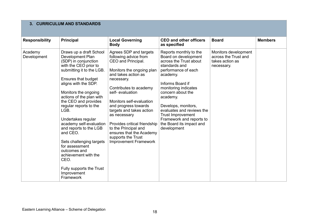### **3. CURRICULUM AND STANDARDS**

| <b>Responsibility</b>  | <b>Principal</b>                                                                                                                                                                                                                                                                                                                                                                                                                                                                                                                    | <b>Local Governing</b><br><b>Body</b>                                                                                                                                                                                                                                                                                                                                                                                          | <b>CEO and other officers</b><br>as specified                                                                                                                                                                                                                                                                                                                    | <b>Board</b>                                                                  | <b>Members</b> |
|------------------------|-------------------------------------------------------------------------------------------------------------------------------------------------------------------------------------------------------------------------------------------------------------------------------------------------------------------------------------------------------------------------------------------------------------------------------------------------------------------------------------------------------------------------------------|--------------------------------------------------------------------------------------------------------------------------------------------------------------------------------------------------------------------------------------------------------------------------------------------------------------------------------------------------------------------------------------------------------------------------------|------------------------------------------------------------------------------------------------------------------------------------------------------------------------------------------------------------------------------------------------------------------------------------------------------------------------------------------------------------------|-------------------------------------------------------------------------------|----------------|
| Academy<br>Development | Draws up a draft School<br>Development Plan<br>(SDP) in conjunction<br>with the CEO prior to<br>submitting it to the LGB.<br>Ensures that budget<br>aligns with the SDP.<br>Monitors the ongoing<br>actions of the plan with<br>the CEO and provides<br>regular reports to the<br>LGB.<br>Undertakes regular<br>academy self-evaluation<br>and reports to the LGB<br>and CEO.<br>Sets challenging targets<br>for assessment<br>outcomes and<br>achievement with the<br>CEO.<br>Fully supports the Trust<br>Improvement<br>Framework | Agrees SDP and targets<br>following advice from<br>CEO and Principal.<br>Monitors the ongoing plan<br>and takes action as<br>necessary.<br>Contributes to academy<br>self-evaluation<br>Monitors self-evaluation<br>and progress towards<br>targets and takes action<br>as necessary<br>Provides critical friendship<br>to the Principal and<br>ensures that the Academy<br>supports the Trust<br><b>Improvement Framework</b> | Reports monthly to the<br>Board on development<br>across the Trust about<br>standards and<br>performance of each<br>academy.<br>Informs Board if<br>monitoring indicates<br>concern about the<br>academy.<br>Develops, monitors,<br>evaluates and reviews the<br><b>Trust Improvement</b><br>Framework and reports to<br>the Board its impact and<br>development | Monitors development<br>across the Trust and<br>takes action as<br>necessary. |                |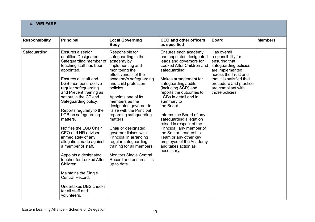# **4. WELFARE**

| <b>Responsibility</b> | <b>Principal</b>                                                                                                                                                                                                                                                                                                                                                                                                                                                                                                                                                                                                                                     | <b>Local Governing</b><br><b>Body</b>                                                                                                                                                                                                                                                                                                                                                                                                                                                                                               | <b>CEO and other officers</b><br>as specified                                                                                                                                                                                                                                                                                                                                                                                                                                                                     | <b>Board</b>                                                                                                                                                                                                           | <b>Members</b> |
|-----------------------|------------------------------------------------------------------------------------------------------------------------------------------------------------------------------------------------------------------------------------------------------------------------------------------------------------------------------------------------------------------------------------------------------------------------------------------------------------------------------------------------------------------------------------------------------------------------------------------------------------------------------------------------------|-------------------------------------------------------------------------------------------------------------------------------------------------------------------------------------------------------------------------------------------------------------------------------------------------------------------------------------------------------------------------------------------------------------------------------------------------------------------------------------------------------------------------------------|-------------------------------------------------------------------------------------------------------------------------------------------------------------------------------------------------------------------------------------------------------------------------------------------------------------------------------------------------------------------------------------------------------------------------------------------------------------------------------------------------------------------|------------------------------------------------------------------------------------------------------------------------------------------------------------------------------------------------------------------------|----------------|
| Safeguarding          | Ensures a senior<br>qualified Designated<br>Safeguarding member of<br>teaching staff has been<br>appointed.<br>Ensures all staff and<br><b>LGB</b> members receive<br>regular safeguarding<br>and Prevent training as<br>set out in the CP and<br>Safeguarding policy.<br>Reports regularly to the<br>LGB on safeguarding<br>matters.<br>Notifies the LGB Chair,<br>CEO and HR adviser<br>immediately of any<br>allegation made against<br>a member of staff.<br>Appoints a designated<br>teacher for Looked After<br>Children<br><b>Maintains the Single</b><br>Central Record.<br><b>Undertakes DBS checks</b><br>for all staff and<br>volunteers. | Responsible for<br>safeguarding in the<br>academy by<br>implementing and<br>monitoring the<br>effectiveness of the<br>academy's safeguarding<br>and child protection<br>policies.<br>Appoints one of its<br>members as the<br>designated governor to<br>liaise with the Principal<br>regarding safeguarding<br>matters.<br>Chair or designated<br>governor liaises with<br>Principal in arranging<br>regular safeguarding<br>training for all members.<br><b>Monitors Single Central</b><br>Record and ensures it is<br>up to date. | Ensures each academy<br>has appointed designated<br>leads and governors for<br>Looked After Children and<br>safeguarding.<br>Makes arrangement for<br>safeguarding audits<br>(including SCR) and<br>reports the outcomes to<br>LGBs in detail and in<br>summary to<br>the Board.<br>Informs the Board of any<br>safeguarding allegation<br>raised in respect of the<br>Principal, any member of<br>the Senior Leadership<br>Team or any other key<br>employee of the Academy<br>and takes action as<br>necessary. | Has overall<br>responsibility for<br>ensuring that<br>safeguarding policies<br>are implemented<br>across the Trust and<br>that it is satisfied that<br>procedure and practice<br>are compliant with<br>those policies. |                |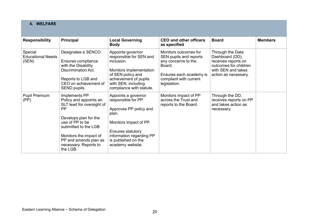# **4. WELFARE**

| <b>Responsibility</b>                        | <b>Principal</b>                                                                                                                                                                                                                              | <b>Local Governing</b><br><b>Body</b>                                                                                                                                                               | <b>CEO and other officers</b><br>as specified                                                                                                         | <b>Board</b>                                                                                                                      | <b>Members</b> |
|----------------------------------------------|-----------------------------------------------------------------------------------------------------------------------------------------------------------------------------------------------------------------------------------------------|-----------------------------------------------------------------------------------------------------------------------------------------------------------------------------------------------------|-------------------------------------------------------------------------------------------------------------------------------------------------------|-----------------------------------------------------------------------------------------------------------------------------------|----------------|
| Special<br><b>Educational Needs</b><br>(SEN) | Designates a SENCO<br>Ensures compliance<br>with the Disability<br>Discrimination Act.<br>Reports to LGB and<br>CEO on achievement of<br>SEND pupils.                                                                                         | Appoints governor<br>responsible for SEN and<br>inclusion.<br>Monitors implementation<br>of SEN policy and<br>achievement of pupils<br>with SEN, including<br>compliance with statute.              | Monitors outcomes for<br>SEN pupils and reports<br>any concerns to the<br>Board.<br>Ensures each academy is<br>compliant with current<br>legislation. | Through the Data<br>Dashboard (DD),<br>receives reports on<br>outcomes for children<br>with SEN and takes<br>action as necessary. |                |
| <b>Pupil Premium</b><br>(PP)                 | Implements PP<br>Policy and appoints an<br>SLT lead for oversight of<br><b>PP</b><br>Develops plan for the<br>use of PP to be<br>submitted to the LGB<br>Monitors the impact of<br>PP and amends plan as<br>necessary. Reports to<br>the LGB. | Appoints a governor<br>responsible for PP.<br>Approves PP policy and<br>plan.<br>Monitors impact of PP.<br>Ensures statutory<br>information regarding PP<br>is published on the<br>academy website. | Monitors impact of PP<br>across the Trust and<br>reports to the Board.                                                                                | Through the DD,<br>receives reports on PP<br>and takes action as<br>necessary.                                                    |                |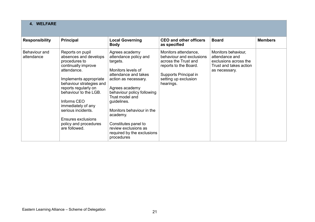# **4. WELFARE**

| <b>Responsibility</b>       | Principal                                                                                                                                                                                                                                                                                                                                 | <b>Local Governing</b><br><b>Body</b>                                                                                                                                                                                                                                                                                                            | <b>CEO and other officers</b><br>as specified                                                                                                                   | <b>Board</b>                                                                                              | <b>Members</b> |
|-----------------------------|-------------------------------------------------------------------------------------------------------------------------------------------------------------------------------------------------------------------------------------------------------------------------------------------------------------------------------------------|--------------------------------------------------------------------------------------------------------------------------------------------------------------------------------------------------------------------------------------------------------------------------------------------------------------------------------------------------|-----------------------------------------------------------------------------------------------------------------------------------------------------------------|-----------------------------------------------------------------------------------------------------------|----------------|
| Behaviour and<br>attendance | Reports on pupil<br>absences and develops<br>procedures to<br>continually improve<br>attendance.<br>Implements appropriate<br>behaviour strategies and<br>reports regularly on<br>behaviour to the LGB.<br>Informs CEO<br>immediately of any<br>serious incidents.<br><b>Ensures exclusions</b><br>policy and procedures<br>are followed. | Agrees academy<br>attendance policy and<br>targets.<br>Monitors levels of<br>attendance and takes<br>action as necessary.<br>Agrees academy<br>behaviour policy following<br>Trust model and<br>guidelines.<br>Monitors behaviour in the<br>academy.<br>Constitutes panel to<br>review exclusions as<br>required by the exclusions<br>procedures | Monitors attendance,<br>behaviour and exclusions<br>across the Trust and<br>reports to the Board.<br>Supports Principal in<br>setting up exclusion<br>hearings. | Monitors behaviour,<br>attendance and<br>exclusions across the<br>Trust and takes action<br>as necessary. |                |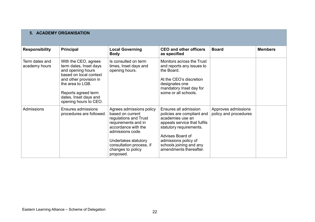| 5. ACADEMY ORGANISATION         |                                                                                                                                                                                                                      |                                                                                                                                                                                                                               |                                                                                                                                                                                                                                     |                                              |                |  |  |  |
|---------------------------------|----------------------------------------------------------------------------------------------------------------------------------------------------------------------------------------------------------------------|-------------------------------------------------------------------------------------------------------------------------------------------------------------------------------------------------------------------------------|-------------------------------------------------------------------------------------------------------------------------------------------------------------------------------------------------------------------------------------|----------------------------------------------|----------------|--|--|--|
| <b>Responsibility</b>           | <b>Principal</b>                                                                                                                                                                                                     | <b>Local Governing</b><br><b>Body</b>                                                                                                                                                                                         | <b>CEO and other officers</b><br>as specified                                                                                                                                                                                       | <b>Board</b>                                 | <b>Members</b> |  |  |  |
| Term dates and<br>academy hours | With the CEO, agrees<br>term dates, Inset days<br>and opening hours<br>based on local context<br>and other provision in<br>the area to LGB.<br>Reports agreed term<br>dates, Inset days and<br>opening hours to CEO. | Is consulted on term<br>times, Inset days and<br>opening hours.                                                                                                                                                               | Monitors across the Trust<br>and reports any issues to<br>the Board.<br>At the CEO's discretion<br>designates one<br>mandatory Inset day for<br>some or all schools.                                                                |                                              |                |  |  |  |
| Admissions                      | <b>Ensures admissions</b><br>procedures are followed.                                                                                                                                                                | Agrees admissions policy<br>based on current<br>regulations and Trust<br>requirements and in<br>accordance with the<br>admissions code.<br>Undertakes statutory<br>consultation process, if<br>changes to policy<br>proposed. | Ensures all admission<br>policies are compliant and<br>academies use an<br>appeals service that fulfils<br>statutory requirements.<br>Advises Board of<br>admissions policy of<br>schools joining and any<br>amendments thereafter. | Approves admissions<br>policy and procedures |                |  |  |  |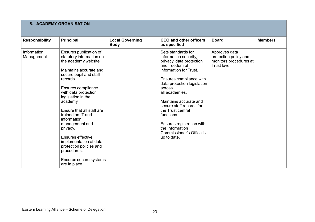# **5. ACADEMY ORGANISATION**

| <b>Responsibility</b>     | Principal                                                                                                                                                                                                                                                                                                                                                                                                                                                     | <b>Local Governing</b><br><b>Body</b> | <b>CEO and other officers</b><br>as specified                                                                                                                                                                                                                                                                                                                                                 | <b>Board</b>                                                                     | <b>Members</b> |
|---------------------------|---------------------------------------------------------------------------------------------------------------------------------------------------------------------------------------------------------------------------------------------------------------------------------------------------------------------------------------------------------------------------------------------------------------------------------------------------------------|---------------------------------------|-----------------------------------------------------------------------------------------------------------------------------------------------------------------------------------------------------------------------------------------------------------------------------------------------------------------------------------------------------------------------------------------------|----------------------------------------------------------------------------------|----------------|
| Information<br>Management | Ensures publication of<br>statutory information on<br>the academy website.<br>Maintains accurate and<br>secure pupil and staff<br>records.<br>Ensures compliance<br>with data protection<br>legislation in the<br>academy.<br>Ensure that all staff are<br>trained on IT and<br>information<br>management and<br>privacy.<br>Ensures effective<br>implementation of data<br>protection policies and<br>procedures.<br>Ensures secure systems<br>are in place. |                                       | Sets standards for<br>information security,<br>privacy, data protection<br>and freedom of<br>information for Trust.<br>Ensures compliance with<br>data protection legislation<br>across<br>all academies.<br>Maintains accurate and<br>secure staff records for<br>the Trust central<br>functions.<br>Ensures registration with<br>the Information<br>Commissioner's Office is<br>up to date. | Approves data<br>protection policy and<br>monitors procedures at<br>Trust level. |                |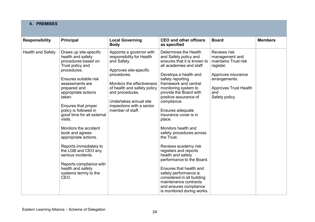# **6. PREMISES**

| <b>Responsibility</b>    | <b>Principal</b>                                                                                                                                                                                                                                                                                                                                                                                                                                                                                                        | <b>Local Governing</b><br><b>Body</b>                                                                                                                                                                                                                                    | <b>CEO and other officers</b><br>as specified                                                                                                                                                                                                                                                                                                                                                                                                                                                                                                                                                                                                                           | <b>Board</b>                                                                                                                                                        | <b>Members</b> |
|--------------------------|-------------------------------------------------------------------------------------------------------------------------------------------------------------------------------------------------------------------------------------------------------------------------------------------------------------------------------------------------------------------------------------------------------------------------------------------------------------------------------------------------------------------------|--------------------------------------------------------------------------------------------------------------------------------------------------------------------------------------------------------------------------------------------------------------------------|-------------------------------------------------------------------------------------------------------------------------------------------------------------------------------------------------------------------------------------------------------------------------------------------------------------------------------------------------------------------------------------------------------------------------------------------------------------------------------------------------------------------------------------------------------------------------------------------------------------------------------------------------------------------------|---------------------------------------------------------------------------------------------------------------------------------------------------------------------|----------------|
| <b>Health and Safety</b> | Draws up site-specific<br>health and safety<br>procedures based on<br>Trust policy and<br>procedures.<br>Ensures suitable risk<br>assessments are<br>prepared and<br>appropriate actions<br>taken.<br>Ensures that proper<br>policy is followed in<br>good time for all external<br>visits.<br>Monitors the accident<br>book and agrees<br>appropriate actions.<br>Reports immediately to<br>the LGB and CEO any<br>serious incidents.<br>Reports compliance with<br>health and safety<br>systems termly to the<br>CEO. | Appoints a governor with<br>responsibility for Health<br>and Safety.<br>Approves site-specific<br>procedures.<br>Monitors the effectiveness<br>of health and safety policy<br>and procedures.<br>Undertakes annual site<br>inspections with a senior<br>member of staff. | Determines the Health<br>and Safety policy and<br>ensures that it is known to<br>all academies and staff.<br>Develops a health and<br>safety reporting<br>framework and central<br>monitoring system to<br>provide the Board with<br>positive assurance of<br>compliance.<br>Ensures adequate<br>insurance cover is in<br>place.<br>Monitors health and<br>safety procedures across<br>the Trust.<br>Reviews academy risk<br>registers and reports<br>health and safety<br>performance to the Board.<br>Ensures that health and<br>safety performance is<br>considered in all building<br>maintenance contracts<br>and ensures compliance<br>is monitored during works. | Reviews risk<br>management and<br>maintains Trust risk<br>register.<br>Approves insurance<br>arrangements.<br><b>Approves Trust Health</b><br>and<br>Safety policy. |                |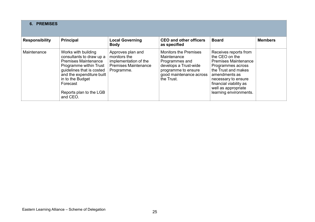| <b>6. PREMISES</b>    |                                                                                                                                                                                                                                           |                                                                                                         |                                                                                                                                                        |                                                                                                                                                                                                                                       |                |  |  |  |
|-----------------------|-------------------------------------------------------------------------------------------------------------------------------------------------------------------------------------------------------------------------------------------|---------------------------------------------------------------------------------------------------------|--------------------------------------------------------------------------------------------------------------------------------------------------------|---------------------------------------------------------------------------------------------------------------------------------------------------------------------------------------------------------------------------------------|----------------|--|--|--|
| <b>Responsibility</b> | <b>Principal</b>                                                                                                                                                                                                                          | <b>Local Governing</b><br><b>Body</b>                                                                   | <b>CEO and other officers</b><br>as specified                                                                                                          | <b>Board</b>                                                                                                                                                                                                                          | <b>Members</b> |  |  |  |
| Maintenance           | Works with building<br>consultants to draw up a<br><b>Premises Maintenance</b><br>Programme within Trust<br>guidelines that is costed<br>and the expenditure built<br>in to the Budget<br>Forecast<br>Reports plan to the LGB<br>and CEO. | Approves plan and<br>monitors the<br>implementation of the<br><b>Premises Maintenance</b><br>Programme. | <b>Monitors the Premises</b><br>Maintenance<br>Programmes and<br>develops a Trust-wide<br>programme to ensure<br>good maintenance across<br>the Trust. | Receives reports from<br>the CEO on the<br><b>Premises Maintenance</b><br>Programmes across<br>the Trust and makes<br>amendments as<br>necessary to ensure<br>financial viability as<br>well as appropriate<br>learning environments. |                |  |  |  |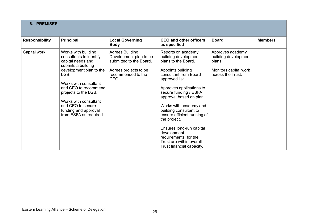| <b>6. PREMISES</b>    |                                                                                                                                                                                                                                                                                                      |                                                                                                                                    |                                                                                                                                                                                                                                                                                                                                                                                                                                                   |                                                                                                  |                |
|-----------------------|------------------------------------------------------------------------------------------------------------------------------------------------------------------------------------------------------------------------------------------------------------------------------------------------------|------------------------------------------------------------------------------------------------------------------------------------|---------------------------------------------------------------------------------------------------------------------------------------------------------------------------------------------------------------------------------------------------------------------------------------------------------------------------------------------------------------------------------------------------------------------------------------------------|--------------------------------------------------------------------------------------------------|----------------|
| <b>Responsibility</b> | <b>Principal</b>                                                                                                                                                                                                                                                                                     | <b>Local Governing</b><br><b>Body</b>                                                                                              | <b>CEO and other officers</b><br>as specified                                                                                                                                                                                                                                                                                                                                                                                                     | <b>Board</b>                                                                                     | <b>Members</b> |
| Capital work          | Works with building<br>consultants to identify<br>capital needs and<br>submits a building<br>development plan to the<br>LGB.<br>Works with consultant<br>and CEO to recommend<br>projects to the LGB.<br>Works with consultant<br>and CEO to secure<br>funding and approval<br>from ESFA as required | <b>Agrees Building</b><br>Development plan to be<br>submitted to the Board.<br>Agrees projects to be<br>recommended to the<br>CEO. | Reports on academy<br>building development<br>plans to the Board.<br>Appoints building<br>consultant from Board-<br>approved list.<br>Approves applications to<br>secure funding / ESFA<br>approval based on plan.<br>Works with academy and<br>building consultant to<br>ensure efficient running of<br>the project.<br>Ensures long-run capital<br>development<br>requirements for the<br>Trust are within overall<br>Trust financial capacity. | Approves academy<br>building development<br>plans.<br>Monitors capital work<br>across the Trust. |                |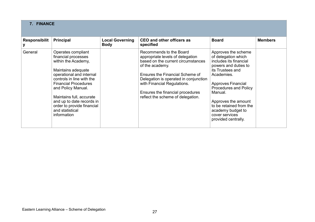| <b>7. FINANCE</b>    |                                                                                                                                                                                                                                                                                                                               |                                       |                                                                                                                                                                                                                                                                                                                 |                                                                                                                                                                                                                                                                                                                        |                |
|----------------------|-------------------------------------------------------------------------------------------------------------------------------------------------------------------------------------------------------------------------------------------------------------------------------------------------------------------------------|---------------------------------------|-----------------------------------------------------------------------------------------------------------------------------------------------------------------------------------------------------------------------------------------------------------------------------------------------------------------|------------------------------------------------------------------------------------------------------------------------------------------------------------------------------------------------------------------------------------------------------------------------------------------------------------------------|----------------|
| <b>Responsibilit</b> | <b>Principal</b>                                                                                                                                                                                                                                                                                                              | <b>Local Governing</b><br><b>Body</b> | CEO and other officers as<br>specified                                                                                                                                                                                                                                                                          | <b>Board</b>                                                                                                                                                                                                                                                                                                           | <b>Members</b> |
| General              | Operates compliant<br>financial processes<br>within the Academy,<br>Maintains adequate<br>operational and internal<br>controls in line with the<br><b>Financial Procedures</b><br>and Policy Manual.<br>Maintains full, accurate<br>and up to date records in<br>order to provide financial<br>and statistical<br>information |                                       | Recommends to the Board<br>appropriate levels of delegation<br>based on the current circumstances<br>of the academy.<br><b>Ensures the Financial Scheme of</b><br>Delegation is operated in conjunction<br>with Financial Regulations.<br>Ensures the financial procedures<br>reflect the scheme of delegation. | Approves the scheme<br>of delegation which<br>includes its financial<br>powers and duties to<br>its Trustees and<br>Academies.<br><b>Approves Financial</b><br><b>Procedures and Policy</b><br>Manual.<br>Approves the amount<br>to be retained from the<br>academy budget to<br>cover services<br>provided centrally. |                |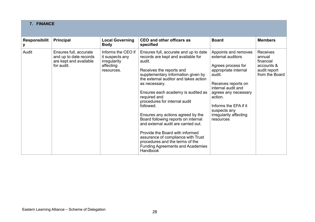| 7. FINANCE                |                                                                                          |                                                                                  |                                                                                                                                                                                                                                                                                                                                                                                                                                                                                                                                                                                                             |                                                                                                                                                                                                                                                                   |                                                                                        |
|---------------------------|------------------------------------------------------------------------------------------|----------------------------------------------------------------------------------|-------------------------------------------------------------------------------------------------------------------------------------------------------------------------------------------------------------------------------------------------------------------------------------------------------------------------------------------------------------------------------------------------------------------------------------------------------------------------------------------------------------------------------------------------------------------------------------------------------------|-------------------------------------------------------------------------------------------------------------------------------------------------------------------------------------------------------------------------------------------------------------------|----------------------------------------------------------------------------------------|
| <b>Responsibilit</b><br>у | <b>Principal</b>                                                                         | <b>Local Governing</b><br><b>Body</b>                                            | <b>CEO and other officers as</b><br>specified                                                                                                                                                                                                                                                                                                                                                                                                                                                                                                                                                               | <b>Board</b>                                                                                                                                                                                                                                                      | <b>Members</b>                                                                         |
| Audit                     | Ensures full, accurate<br>and up to date records<br>are kept and available<br>for audit. | Informs the CEO if<br>it suspects any<br>irregularity<br>affecting<br>resources. | Ensures full, accurate and up to date<br>records are kept and available for<br>audit.<br>Receives the reports and<br>supplementary information given by<br>the external auditor and takes action<br>as necessary.<br>Ensures each academy is audited as<br>required and<br>procedures for internal audit<br>followed.<br>Ensures any actions agreed by the<br>Board following reports on internal<br>and external audit are carried out.<br>Provide the Board with informed<br>assurance of compliance with Trust<br>procedures and the terms of the<br><b>Funding Agreements and Academies</b><br>Handbook | Appoints and removes<br>external auditors<br>Agrees process for<br>appropriate internal<br>audit.<br>Receives reports on<br>internal audit and<br>agrees any necessary<br>action.<br>Informs the EFA if it<br>suspects any<br>irregularity affecting<br>resources | <b>Receives</b><br>annual<br>financial<br>accounts &<br>audit report<br>from the Board |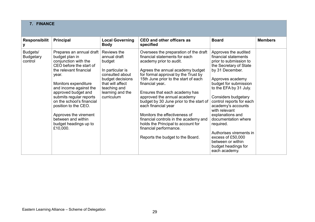| 7. FINANCE                              |                                                                                                                                                                                                                                                                                                                                                                               |                                                                                                                                                                        |                                                                                                                                                                                                                                                                                                                                                                                                                                                                                                                                                         |                                                                                                                                                                                                                                                                                                                                                                                                                                                           |                |
|-----------------------------------------|-------------------------------------------------------------------------------------------------------------------------------------------------------------------------------------------------------------------------------------------------------------------------------------------------------------------------------------------------------------------------------|------------------------------------------------------------------------------------------------------------------------------------------------------------------------|---------------------------------------------------------------------------------------------------------------------------------------------------------------------------------------------------------------------------------------------------------------------------------------------------------------------------------------------------------------------------------------------------------------------------------------------------------------------------------------------------------------------------------------------------------|-----------------------------------------------------------------------------------------------------------------------------------------------------------------------------------------------------------------------------------------------------------------------------------------------------------------------------------------------------------------------------------------------------------------------------------------------------------|----------------|
| <b>Responsibilit</b><br>у               | <b>Principal</b>                                                                                                                                                                                                                                                                                                                                                              | <b>Local Governing</b><br><b>Body</b>                                                                                                                                  | <b>CEO and other officers as</b><br>specified                                                                                                                                                                                                                                                                                                                                                                                                                                                                                                           | <b>Board</b>                                                                                                                                                                                                                                                                                                                                                                                                                                              | <b>Members</b> |
| Budgets/<br><b>Budgetary</b><br>control | Prepares an annual draft<br>budget plan in<br>conjunction with the<br>CEO before the start of<br>the relevant financial<br>year.<br>Monitors expenditure<br>and income against the<br>approved budget and<br>submits regular reports<br>on the school's financial<br>position to the CEO.<br>Approves the virement<br>between and within<br>budget headings up to<br>£10,000. | Reviews the<br>annual draft<br>budget<br>In particular is<br>consulted about<br>budget decisions<br>that will affect<br>teaching and<br>learning and the<br>curriculum | Oversees the preparation of the draft<br>financial statements for each<br>academy prior to audit.<br>Agrees the annual academy budget<br>for formal approval by the Trust by<br>15th June prior to the start of each<br>financial year.<br>Ensures that each academy has<br>approved the annual academy<br>budget by 30 June prior to the start of<br>each financial year<br>Monitors the effectiveness of<br>financial controls in the academy and<br>holds the Principal to account for<br>financial performance.<br>Reports the budget to the Board. | Approves the audited<br>financial statements<br>prior to submission to<br>the Secretary of State<br>by 31 December.<br>Approves academy<br>budget for submission<br>to the EFA by 31 July.<br>Considers budgetary<br>control reports for each<br>academy's accounts<br>with relevant<br>explanations and<br>documentation where<br>required.<br>Authorises virements in<br>excess of £50,000<br>between or within<br>budget headings for<br>each academy. |                |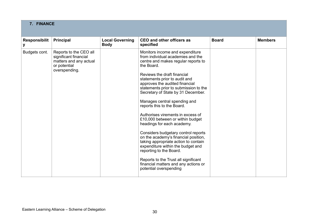| 7. FINANCE                |                                                                                                            |                                       |                                                                                                                                                                                                                                                                                                                                                                                                                                                                                                                                                                                                                                                                                                                                                                                  |              |                |
|---------------------------|------------------------------------------------------------------------------------------------------------|---------------------------------------|----------------------------------------------------------------------------------------------------------------------------------------------------------------------------------------------------------------------------------------------------------------------------------------------------------------------------------------------------------------------------------------------------------------------------------------------------------------------------------------------------------------------------------------------------------------------------------------------------------------------------------------------------------------------------------------------------------------------------------------------------------------------------------|--------------|----------------|
| <b>Responsibilit</b><br>у | <b>Principal</b>                                                                                           | <b>Local Governing</b><br><b>Body</b> | <b>CEO and other officers as</b><br>specified                                                                                                                                                                                                                                                                                                                                                                                                                                                                                                                                                                                                                                                                                                                                    | <b>Board</b> | <b>Members</b> |
| Budgets cont.             | Reports to the CEO all<br>significant financial<br>matters and any actual<br>or potential<br>overspending. |                                       | Monitors income and expenditure<br>from individual academies and the<br>centre and makes regular reports to<br>the Board.<br>Reviews the draft financial<br>statements prior to audit and<br>approves the audited financial<br>statements prior to submission to the<br>Secretary of State by 31 December.<br>Manages central spending and<br>reports this to the Board.<br>Authorises virements in excess of<br>£10,000 between or within budget<br>headings for each academy.<br>Considers budgetary control reports<br>on the academy's financial position,<br>taking appropriate action to contain<br>expenditure within the budget and<br>reporting to the Board.<br>Reports to the Trust all significant<br>financial matters and any actions or<br>potential overspending |              |                |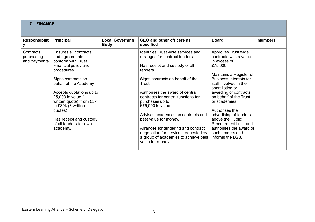| 7. FINANCE                               |                                                                                                                                                                                                                                                                                                                                      |                                       |                                                                                                                                                                                                                                                                                                                                                                                                                                                                                             |                                                                                                                                                                                                                                                                                                                                                                                                                     |                |
|------------------------------------------|--------------------------------------------------------------------------------------------------------------------------------------------------------------------------------------------------------------------------------------------------------------------------------------------------------------------------------------|---------------------------------------|---------------------------------------------------------------------------------------------------------------------------------------------------------------------------------------------------------------------------------------------------------------------------------------------------------------------------------------------------------------------------------------------------------------------------------------------------------------------------------------------|---------------------------------------------------------------------------------------------------------------------------------------------------------------------------------------------------------------------------------------------------------------------------------------------------------------------------------------------------------------------------------------------------------------------|----------------|
| <b>Responsibilit</b><br>У                | <b>Principal</b>                                                                                                                                                                                                                                                                                                                     | <b>Local Governing</b><br><b>Body</b> | CEO and other officers as<br>specified                                                                                                                                                                                                                                                                                                                                                                                                                                                      | <b>Board</b>                                                                                                                                                                                                                                                                                                                                                                                                        | <b>Members</b> |
| Contracts.<br>purchasing<br>and payments | Ensures all contracts<br>and agreements<br>conform with Trust<br>Financial policy and<br>procedures.<br>Signs contracts on<br>behalf of the Academy.<br>Accepts quotations up to<br>£5,000 in value (1<br>written quote); from £5k<br>to £30k (3 written<br>quotes)<br>Has receipt and custody<br>of all tenders for own<br>academy. |                                       | Identifies Trust wide services and<br>arranges for contract tenders.<br>Has receipt and custody of all<br>tenders.<br>Signs contracts on behalf of the<br>Trust.<br>Authorises the award of central<br>contracts for central functions for<br>purchases up to<br>£75,000 in value<br>Advises academies on contracts and<br>best value for money.<br>Arranges for tendering and contract<br>negotiation for services requested by<br>a group of academies to achieve best<br>value for money | Approves Trust wide<br>contracts with a value<br>in excess of<br>£75,000.<br>Maintains a Register of<br><b>Business Interests for</b><br>staff involved in the<br>short listing or<br>awarding of contracts<br>on behalf of the Trust<br>or academies.<br>Authorises the<br>advertising of tenders<br>above the Public<br>Procurement limit, and<br>authorises the award of<br>such tenders and<br>informs the LGB. |                |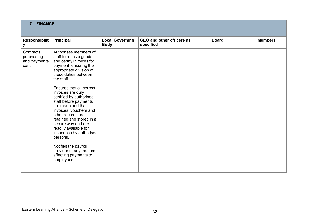| 7. FINANCE                                        |                                                                                                                                                                                                                                                                                                                                                                                                                                                                                                                                                                    |                                       |                                               |              |                |
|---------------------------------------------------|--------------------------------------------------------------------------------------------------------------------------------------------------------------------------------------------------------------------------------------------------------------------------------------------------------------------------------------------------------------------------------------------------------------------------------------------------------------------------------------------------------------------------------------------------------------------|---------------------------------------|-----------------------------------------------|--------------|----------------|
| <b>Responsibilit</b><br>у                         | Principal                                                                                                                                                                                                                                                                                                                                                                                                                                                                                                                                                          | <b>Local Governing</b><br><b>Body</b> | <b>CEO and other officers as</b><br>specified | <b>Board</b> | <b>Members</b> |
| Contracts,<br>purchasing<br>and payments<br>cont. | Authorises members of<br>staff to receive goods<br>and certify invoices for<br>payment, ensuring the<br>appropriate division of<br>these duties between<br>the staff.<br><b>Ensures that all correct</b><br>invoices are duly<br>certified by authorised<br>staff before payments<br>are made and that<br>invoices, vouchers and<br>other records are<br>retained and stored in a<br>secure way and are<br>readily available for<br>inspection by authorised<br>persons.<br>Notifies the payroll<br>provider of any matters<br>affecting payments to<br>employees. |                                       |                                               |              |                |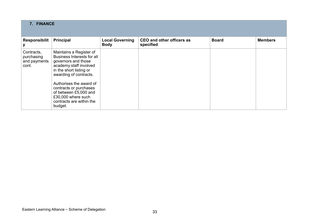| 7. FINANCE                                        |                                                                                                                                                                                                                                                                                                        |                                       |                                        |              |                |
|---------------------------------------------------|--------------------------------------------------------------------------------------------------------------------------------------------------------------------------------------------------------------------------------------------------------------------------------------------------------|---------------------------------------|----------------------------------------|--------------|----------------|
| <b>Responsibilit</b>                              | Principal                                                                                                                                                                                                                                                                                              | <b>Local Governing</b><br><b>Body</b> | CEO and other officers as<br>specified | <b>Board</b> | <b>Members</b> |
| Contracts,<br>purchasing<br>and payments<br>cont. | Maintains a Register of<br>Business Interests for all<br>governors and those<br>academy staff involved<br>in the short listing or<br>awarding of contracts.<br>Authorises the award of<br>contracts or purchases<br>of between £5,000 and<br>£30,000 where such<br>contracts are within the<br>budget. |                                       |                                        |              |                |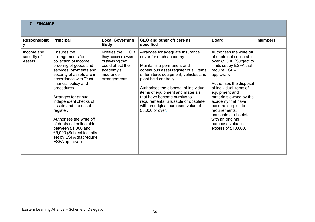| 7. FINANCE                          |                                                                                                                                                                                                                                                                                                                                                                                                                                                         |                                                                                                                             |                                                                                                                                                                                                                                                                                                                                                                                                                |                                                                                                                                                                                                                                                                                                                                                                                            |                |
|-------------------------------------|---------------------------------------------------------------------------------------------------------------------------------------------------------------------------------------------------------------------------------------------------------------------------------------------------------------------------------------------------------------------------------------------------------------------------------------------------------|-----------------------------------------------------------------------------------------------------------------------------|----------------------------------------------------------------------------------------------------------------------------------------------------------------------------------------------------------------------------------------------------------------------------------------------------------------------------------------------------------------------------------------------------------------|--------------------------------------------------------------------------------------------------------------------------------------------------------------------------------------------------------------------------------------------------------------------------------------------------------------------------------------------------------------------------------------------|----------------|
| <b>Responsibilit</b>                | <b>Principal</b>                                                                                                                                                                                                                                                                                                                                                                                                                                        | <b>Local Governing</b><br><b>Body</b>                                                                                       | <b>CEO and other officers as</b><br>specified                                                                                                                                                                                                                                                                                                                                                                  | <b>Board</b>                                                                                                                                                                                                                                                                                                                                                                               | <b>Members</b> |
| Income and<br>security of<br>Assets | Ensures the<br>arrangements for<br>collection of income,<br>ordering of goods and<br>services, payments and<br>security of assets are in<br>accordance with Trust<br>financial policy and<br>procedures.<br>Arranges for annual<br>independent checks of<br>assets and the asset<br>register.<br>Authorises the write off<br>of debts not collectable<br>between £1,000 and<br>£5,000 (Subject to limits<br>set by ESFA that require<br>ESFA approval). | Notifies the CEO if<br>they become aware<br>of anything that<br>could affect the<br>academy's<br>insurance<br>arrangements. | Arranges for adequate insurance<br>cover for each academy.<br>Maintains a permanent and<br>continuous asset register of all items<br>of furniture, equipment, vehicles and<br>plant held centrally.<br>Authorises the disposal of individual<br>items of equipment and materials<br>that have become surplus to<br>requirements, unusable or obsolete<br>with an original purchase value of<br>£5,000 or over. | Authorises the write off<br>of debts not collectable<br>over £5,000 (Subject to<br>limits set by ESFA that<br>require ESFA<br>approval).<br>Authorises the disposal<br>of individual items of<br>equipment and<br>materials owned by the<br>academy that have<br>become surplus to<br>requirements,<br>unusable or obsolete<br>with an original<br>purchase value in<br>excess of £10,000. |                |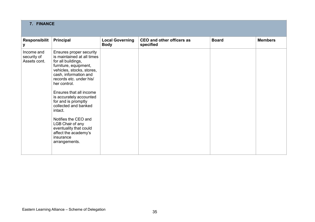| 7. FINANCE                                |                                                                                                                                                                                                                                                                                                                                                                                                                                                   |                                       |                                               |              |                |
|-------------------------------------------|---------------------------------------------------------------------------------------------------------------------------------------------------------------------------------------------------------------------------------------------------------------------------------------------------------------------------------------------------------------------------------------------------------------------------------------------------|---------------------------------------|-----------------------------------------------|--------------|----------------|
| Responsibilit<br>У                        | <b>Principal</b>                                                                                                                                                                                                                                                                                                                                                                                                                                  | <b>Local Governing</b><br><b>Body</b> | <b>CEO and other officers as</b><br>specified | <b>Board</b> | <b>Members</b> |
| Income and<br>security of<br>Assets cont. | Ensures proper security<br>is maintained at all times<br>for all buildings,<br>furniture, equipment,<br>vehicles, stocks, stores,<br>cash, information and<br>records etc. under his/<br>her control.<br>Ensures that all income<br>is accurately accounted<br>for and is promptly<br>collected and banked<br>intact.<br>Notifies the CEO and<br>LGB Chair of any<br>eventuality that could<br>affect the academy's<br>insurance<br>arrangements. |                                       |                                               |              |                |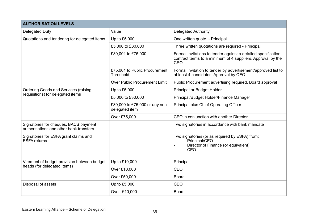| <b>AUTHORISATION LEVELS</b>                                                      |                                                  |                                                                                                                                       |  |  |  |
|----------------------------------------------------------------------------------|--------------------------------------------------|---------------------------------------------------------------------------------------------------------------------------------------|--|--|--|
| <b>Delegated Duty</b>                                                            | Value                                            | <b>Delegated Authority</b>                                                                                                            |  |  |  |
| Quotations and tendering for delegated items                                     | Up to £5,000                                     | One written quote - Principal                                                                                                         |  |  |  |
|                                                                                  | £5,000 to £30,000                                | Three written quotations are required - Principal                                                                                     |  |  |  |
|                                                                                  | £30,001 to £75,000                               | Formal invitations to tender against a detailed specification,<br>contract terms to a minimum of 4 suppliers. Approval by the<br>CEO. |  |  |  |
|                                                                                  | £75,001 to Public Procurement<br>Threshold       | Formal invitation to tender by advertisement/approved list to<br>at least 4 candidates. Approval by CEO.                              |  |  |  |
|                                                                                  | <b>Over Public Procurement Limit</b>             | Public Procurement advertising required, Board approval                                                                               |  |  |  |
| <b>Ordering Goods and Services (raising</b>                                      | Up to £5,000                                     | <b>Principal or Budget Holder</b>                                                                                                     |  |  |  |
| requisitions) for delegated items                                                | £5,000 to £30,000                                | Principal/Budget Holder/Finance Manager                                                                                               |  |  |  |
|                                                                                  | £30,000 to £75,000 or any non-<br>delegated item | Principal plus Chief Operating Officer                                                                                                |  |  |  |
|                                                                                  | Over £75,000                                     | CEO in conjunction with another Director                                                                                              |  |  |  |
| Signatories for cheques, BACS payment<br>authorisations and other bank transfers |                                                  | Two signatories in accordance with bank mandate                                                                                       |  |  |  |
| Signatories for ESFA grant claims and<br><b>ESFA</b> returns                     |                                                  | Two signatories (or as required by ESFA) from:<br>Principal/CEO<br>Director of Finance (or equivalent)<br>CEO                         |  |  |  |
| Virement of budget provision between budget                                      | Up to £10,000                                    | Principal                                                                                                                             |  |  |  |
| heads (for delegated items)                                                      | Over £10,000                                     | CEO                                                                                                                                   |  |  |  |
|                                                                                  | Over £50,000                                     | <b>Board</b>                                                                                                                          |  |  |  |
| Disposal of assets                                                               | Up to £5,000                                     | CEO                                                                                                                                   |  |  |  |
|                                                                                  | Over £10,000                                     | <b>Board</b>                                                                                                                          |  |  |  |